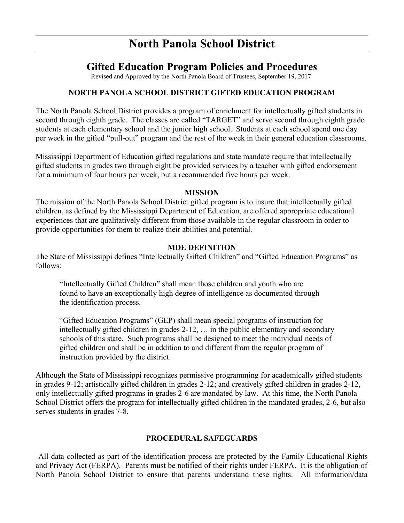# **North Panola School District**

# **Gifted Education Program Policies and Procedures**

Revised and Approved by the North Panola Board of Trustees, September 19, 2017

# **NORTH PANOLA SCHOOL DISTRICT GIFTED EDUCATION PROGRAM**

The North Panola School District provides a program of enrichment for intellectually gifted students in second through eighth grade. The classes are called "TARGET" and serve second through eighth grade students at each elementary school and the junior high school. Students at each school spend one day per week in the gifted "pull-out" program and the rest of the week in their general education classrooms.

Mississippi Department of Education gifted regulations and state mandate require that intellectually gifted students in grades two through eight be provided services by a teacher with gifted endorsement for a minimum of four hours per week, but a recommended five hours per week.

#### **MISSION**

The mission of the North Panola School District gifted program is to insure that intellectually gifted children, as defined by the Mississippi Department of Education, are offered appropriate educational experiences that are qualitatively different from those available in the regular classroom in order to provide opportunities for them to realize their abilities and potential.

#### **MDE DEFINITION**

The State of Mississippi defines "Intellectually Gifted Children" and "Gifted Education Programs" as follows:

"Intellectually Gifted Children" shall mean those children and youth who are found to have an exceptionally high degree of intelligence as documented through the identification process.

"Gifted Education Programs" (GEP) shall mean special programs of instruction for intellectually gifted children in grades 2-12, … in the public elementary and secondary schools of this state. Such programs shall be designed to meet the individual needs of gifted children and shall be in addition to and different from the regular program of instruction provided by the district.

Although the State of Mississippi recognizes permissive programming for academically gifted students in grades 9-12; artistically gifted children in grades 2-12; and creatively gifted children in grades 2-12, only intellectually gifted programs in grades 2-6 are mandated by law. At this time, the North Panola School District offers the program for intellectually gifted children in the mandated grades, 2-6, but also serves students in grades 7-8.

# **PROCEDURAL SAFEGUARDS**

 All data collected as part of the identification process are protected by the Family Educational Rights and Privacy Act (FERPA). Parents must be notified of their rights under FERPA. It is the obligation of North Panola School District to ensure that parents understand these rights. All information/data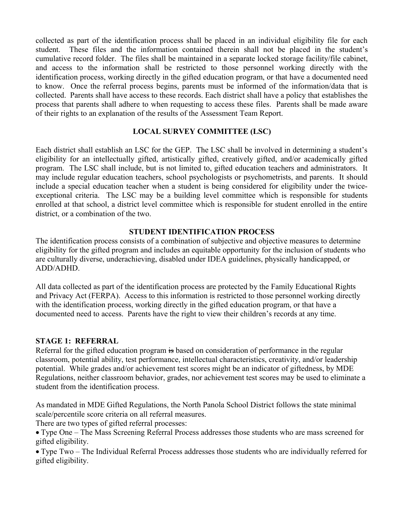collected as part of the identification process shall be placed in an individual eligibility file for each student. These files and the information contained therein shall not be placed in the student's cumulative record folder. The files shall be maintained in a separate locked storage facility/file cabinet, and access to the information shall be restricted to those personnel working directly with the identification process, working directly in the gifted education program, or that have a documented need to know. Once the referral process begins, parents must be informed of the information/data that is collected. Parents shall have access to these records. Each district shall have a policy that establishes the process that parents shall adhere to when requesting to access these files. Parents shall be made aware of their rights to an explanation of the results of the Assessment Team Report.

## **LOCAL SURVEY COMMITTEE (LSC)**

Each district shall establish an LSC for the GEP. The LSC shall be involved in determining a student's eligibility for an intellectually gifted, artistically gifted, creatively gifted, and/or academically gifted program. The LSC shall include, but is not limited to, gifted education teachers and administrators. It may include regular education teachers, school psychologists or psychometrists, and parents. It should include a special education teacher when a student is being considered for eligibility under the twiceexceptional criteria. The LSC may be a building level committee which is responsible for students enrolled at that school, a district level committee which is responsible for student enrolled in the entire district, or a combination of the two.

#### **STUDENT IDENTIFICATION PROCESS**

The identification process consists of a combination of subjective and objective measures to determine eligibility for the gifted program and includes an equitable opportunity for the inclusion of students who are culturally diverse, underachieving, disabled under IDEA guidelines, physically handicapped, or ADD/ADHD.

All data collected as part of the identification process are protected by the Family Educational Rights and Privacy Act (FERPA). Access to this information is restricted to those personnel working directly with the identification process, working directly in the gifted education program, or that have a documented need to access. Parents have the right to view their children's records at any time.

## **STAGE 1: REFERRAL**

Referral for the gifted education program is based on consideration of performance in the regular classroom, potential ability, test performance, intellectual characteristics, creativity, and/or leadership potential. While grades and/or achievement test scores might be an indicator of giftedness, by MDE Regulations, neither classroom behavior, grades, nor achievement test scores may be used to eliminate a student from the identification process.

As mandated in MDE Gifted Regulations, the North Panola School District follows the state minimal scale/percentile score criteria on all referral measures.

There are two types of gifted referral processes:

 Type One – The Mass Screening Referral Process addresses those students who are mass screened for gifted eligibility.

 Type Two – The Individual Referral Process addresses those students who are individually referred for gifted eligibility.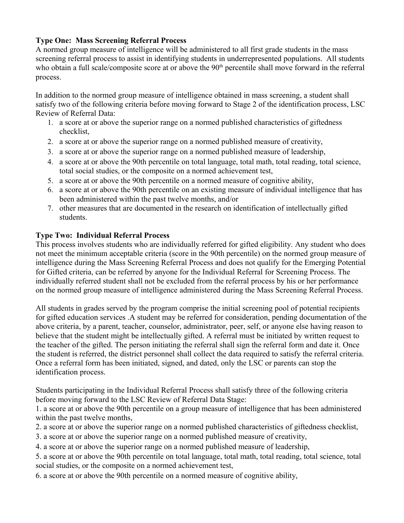# **Type One: Mass Screening Referral Process**

A normed group measure of intelligence will be administered to all first grade students in the mass screening referral process to assist in identifying students in underrepresented populations. All students who obtain a full scale/composite score at or above the 90<sup>th</sup> percentile shall move forward in the referral process.

In addition to the normed group measure of intelligence obtained in mass screening, a student shall satisfy two of the following criteria before moving forward to Stage 2 of the identification process, LSC Review of Referral Data:

- 1. a score at or above the superior range on a normed published characteristics of giftedness checklist,
- 2. a score at or above the superior range on a normed published measure of creativity,
- 3. a score at or above the superior range on a normed published measure of leadership,
- 4. a score at or above the 90th percentile on total language, total math, total reading, total science, total social studies, or the composite on a normed achievement test,
- 5. a score at or above the 90th percentile on a normed measure of cognitive ability,
- 6. a score at or above the 90th percentile on an existing measure of individual intelligence that has been administered within the past twelve months, and/or
- 7. other measures that are documented in the research on identification of intellectually gifted students.

## **Type Two: Individual Referral Process**

This process involves students who are individually referred for gifted eligibility. Any student who does not meet the minimum acceptable criteria (score in the 90th percentile) on the normed group measure of intelligence during the Mass Screening Referral Process and does not qualify for the Emerging Potential for Gifted criteria, can be referred by anyone for the Individual Referral for Screening Process. The individually referred student shall not be excluded from the referral process by his or her performance on the normed group measure of intelligence administered during the Mass Screening Referral Process.

All students in grades served by the program comprise the initial screening pool of potential recipients for gifted education services .A student may be referred for consideration, pending documentation of the above criteria, by a parent, teacher, counselor, administrator, peer, self, or anyone else having reason to believe that the student might be intellectually gifted. A referral must be initiated by written request to the teacher of the gifted. The person initiating the referral shall sign the referral form and date it. Once the student is referred, the district personnel shall collect the data required to satisfy the referral criteria. Once a referral form has been initiated, signed, and dated, only the LSC or parents can stop the identification process.

Students participating in the Individual Referral Process shall satisfy three of the following criteria before moving forward to the LSC Review of Referral Data Stage:

1. a score at or above the 90th percentile on a group measure of intelligence that has been administered within the past twelve months,

2. a score at or above the superior range on a normed published characteristics of giftedness checklist,

- 3. a score at or above the superior range on a normed published measure of creativity,
- 4. a score at or above the superior range on a normed published measure of leadership,
- 5. a score at or above the 90th percentile on total language, total math, total reading, total science, total social studies, or the composite on a normed achievement test,
- 6. a score at or above the 90th percentile on a normed measure of cognitive ability,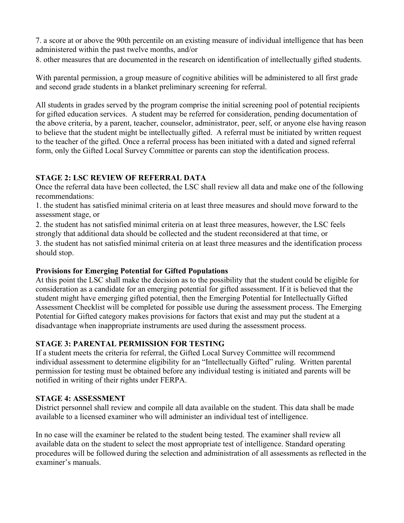7. a score at or above the 90th percentile on an existing measure of individual intelligence that has been administered within the past twelve months, and/or

8. other measures that are documented in the research on identification of intellectually gifted students.

With parental permission, a group measure of cognitive abilities will be administered to all first grade and second grade students in a blanket preliminary screening for referral.

All students in grades served by the program comprise the initial screening pool of potential recipients for gifted education services.A student may be referred for consideration, pending documentation of the above criteria, by a parent, teacher, counselor, administrator, peer, self, or anyone else having reason to believe that the student might be intellectually gifted. A referral must be initiated by written request to the teacher of the gifted. Once a referral process has been initiated with a dated and signed referral form, only the Gifted Local Survey Committee or parents can stop the identification process.

# **STAGE 2: LSC REVIEW OF REFERRAL DATA**

Once the referral data have been collected, the LSC shall review all data and make one of the following recommendations:

1. the student has satisfied minimal criteria on at least three measures and should move forward to the assessment stage, or

2. the student has not satisfied minimal criteria on at least three measures, however, the LSC feels strongly that additional data should be collected and the student reconsidered at that time, or

3. the student has not satisfied minimal criteria on at least three measures and the identification process should stop.

# **Provisions for Emerging Potential for Gifted Populations**

At this point the LSC shall make the decision as to the possibility that the student could be eligible for consideration as a candidate for an emerging potential for gifted assessment. If it is believed that the student might have emerging gifted potential, then the Emerging Potential for Intellectually Gifted Assessment Checklist will be completed for possible use during the assessment process. The Emerging Potential for Gifted category makes provisions for factors that exist and may put the student at a disadvantage when inappropriate instruments are used during the assessment process.

# **STAGE 3: PARENTAL PERMISSION FOR TESTING**

If a student meets the criteria for referral, the Gifted Local Survey Committee will recommend individual assessment to determine eligibility for an "Intellectually Gifted" ruling. Written parental permission for testing must be obtained before any individual testing is initiated and parents will be notified in writing of their rights under FERPA.

## **STAGE 4: ASSESSMENT**

District personnel shall review and compile all data available on the student. This data shall be made available to a licensed examiner who will administer an individual test of intelligence.

In no case will the examiner be related to the student being tested. The examiner shall review all available data on the student to select the most appropriate test of intelligence. Standard operating procedures will be followed during the selection and administration of all assessments as reflected in the examiner's manuals.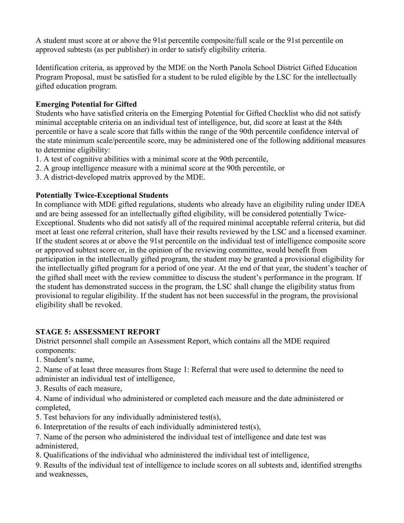A student must score at or above the 91st percentile composite/full scale or the 91st percentile on approved subtests (as per publisher) in order to satisfy eligibility criteria.

Identification criteria, as approved by the MDE on the North Panola School District Gifted Education Program Proposal, must be satisfied for a student to be ruled eligible by the LSC for the intellectually gifted education program.

# **Emerging Potential for Gifted**

Students who have satisfied criteria on the Emerging Potential for Gifted Checklist who did not satisfy minimal acceptable criteria on an individual test of intelligence, but, did score at least at the 84th percentile or have a scale score that falls within the range of the 90th percentile confidence interval of the state minimum scale/percentile score, may be administered one of the following additional measures to determine eligibility:

- 1. A test of cognitive abilities with a minimal score at the 90th percentile,
- 2. A group intelligence measure with a minimal score at the 90th percentile, or
- 3. A district-developed matrix approved by the MDE.

## **Potentially Twice-Exceptional Students**

In compliance with MDE gifted regulations, students who already have an eligibility ruling under IDEA and are being assessed for an intellectually gifted eligibility, will be considered potentially Twice-Exceptional. Students who did not satisfy all of the required minimal acceptable referral criteria, but did meet at least one referral criterion, shall have their results reviewed by the LSC and a licensed examiner. If the student scores at or above the 91st percentile on the individual test of intelligence composite score or approved subtest score or, in the opinion of the reviewing committee, would benefit from participation in the intellectually gifted program, the student may be granted a provisional eligibility for the intellectually gifted program for a period of one year. At the end of that year, the student's teacher of the gifted shall meet with the review committee to discuss the student's performance in the program. If the student has demonstrated success in the program, the LSC shall change the eligibility status from provisional to regular eligibility. If the student has not been successful in the program, the provisional eligibility shall be revoked.

## **STAGE 5: ASSESSMENT REPORT**

District personnel shall compile an Assessment Report, which contains all the MDE required components:

- 1. Student's name,
- 2. Name of at least three measures from Stage 1: Referral that were used to determine the need to administer an individual test of intelligence,
- 3. Results of each measure,
- 4. Name of individual who administered or completed each measure and the date administered or completed,
- 5. Test behaviors for any individually administered test(s),
- 6. Interpretation of the results of each individually administered test(s),
- 7. Name of the person who administered the individual test of intelligence and date test was administered,
- 8. Qualifications of the individual who administered the individual test of intelligence,

9. Results of the individual test of intelligence to include scores on all subtests and, identified strengths and weaknesses,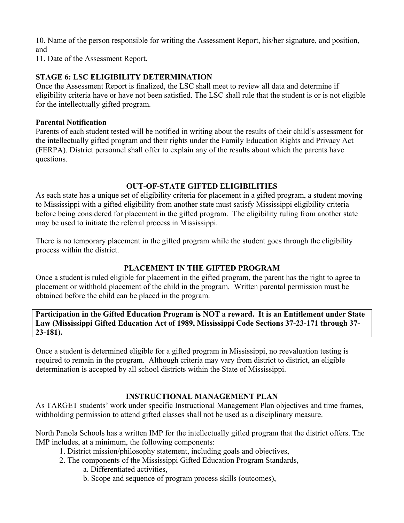10. Name of the person responsible for writing the Assessment Report, his/her signature, and position, and

11. Date of the Assessment Report.

## **STAGE 6: LSC ELIGIBILITY DETERMINATION**

Once the Assessment Report is finalized, the LSC shall meet to review all data and determine if eligibility criteria have or have not been satisfied. The LSC shall rule that the student is or is not eligible for the intellectually gifted program.

#### **Parental Notification**

Parents of each student tested will be notified in writing about the results of their child's assessment for the intellectually gifted program and their rights under the Family Education Rights and Privacy Act (FERPA). District personnel shall offer to explain any of the results about which the parents have questions.

## **OUT-OF-STATE GIFTED ELIGIBILITIES**

As each state has a unique set of eligibility criteria for placement in a gifted program, a student moving to Mississippi with a gifted eligibility from another state must satisfy Mississippi eligibility criteria before being considered for placement in the gifted program. The eligibility ruling from another state may be used to initiate the referral process in Mississippi.

There is no temporary placement in the gifted program while the student goes through the eligibility process within the district.

## **PLACEMENT IN THE GIFTED PROGRAM**

Once a student is ruled eligible for placement in the gifted program, the parent has the right to agree to placement or withhold placement of the child in the program. Written parental permission must be obtained before the child can be placed in the program.

**Participation in the Gifted Education Program is NOT a reward. It is an Entitlement under State Law (Mississippi Gifted Education Act of 1989, Mississippi Code Sections 37-23-171 through 37- 23-181).** 

Once a student is determined eligible for a gifted program in Mississippi, no reevaluation testing is required to remain in the program. Although criteria may vary from district to district, an eligible determination is accepted by all school districts within the State of Mississippi.

## **INSTRUCTIONAL MANAGEMENT PLAN**

As TARGET students' work under specific Instructional Management Plan objectives and time frames, withholding permission to attend gifted classes shall not be used as a disciplinary measure.

North Panola Schools has a written IMP for the intellectually gifted program that the district offers. The IMP includes, at a minimum, the following components:

- 1. District mission/philosophy statement, including goals and objectives,
- 2. The components of the Mississippi Gifted Education Program Standards,
	- a. Differentiated activities,
	- b. Scope and sequence of program process skills (outcomes),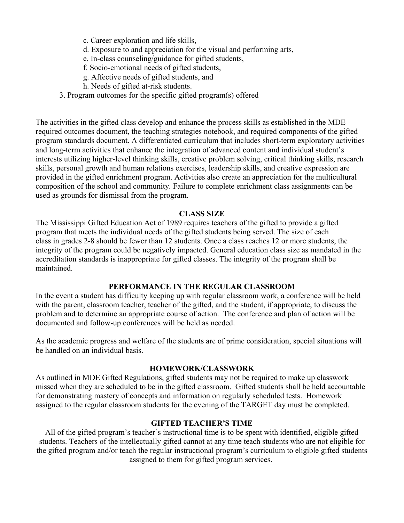- c. Career exploration and life skills,
- d. Exposure to and appreciation for the visual and performing arts,
- e. In-class counseling/guidance for gifted students,
- f. Socio-emotional needs of gifted students,
- g. Affective needs of gifted students, and
- h. Needs of gifted at-risk students.
- 3. Program outcomes for the specific gifted program(s) offered

The activities in the gifted class develop and enhance the process skills as established in the MDE required outcomes document, the teaching strategies notebook, and required components of the gifted program standards document. A differentiated curriculum that includes short-term exploratory activities and long-term activities that enhance the integration of advanced content and individual student's interests utilizing higher-level thinking skills, creative problem solving, critical thinking skills, research skills, personal growth and human relations exercises, leadership skills, and creative expression are provided in the gifted enrichment program. Activities also create an appreciation for the multicultural composition of the school and community. Failure to complete enrichment class assignments can be used as grounds for dismissal from the program.

#### **CLASS SIZE**

The Mississippi Gifted Education Act of 1989 requires teachers of the gifted to provide a gifted program that meets the individual needs of the gifted students being served. The size of each class in grades 2-8 should be fewer than 12 students. Once a class reaches 12 or more students, the integrity of the program could be negatively impacted. General education class size as mandated in the accreditation standards is inappropriate for gifted classes. The integrity of the program shall be maintained.

#### **PERFORMANCE IN THE REGULAR CLASSROOM**

In the event a student has difficulty keeping up with regular classroom work, a conference will be held with the parent, classroom teacher, teacher of the gifted, and the student, if appropriate, to discuss the problem and to determine an appropriate course of action. The conference and plan of action will be documented and follow-up conferences will be held as needed.

As the academic progress and welfare of the students are of prime consideration, special situations will be handled on an individual basis.

#### **HOMEWORK/CLASSWORK**

As outlined in MDE Gifted Regulations, gifted students may not be required to make up classwork missed when they are scheduled to be in the gifted classroom. Gifted students shall be held accountable for demonstrating mastery of concepts and information on regularly scheduled tests. Homework assigned to the regular classroom students for the evening of the TARGET day must be completed.

#### **GIFTED TEACHER'S TIME**

All of the gifted program's teacher's instructional time is to be spent with identified, eligible gifted students. Teachers of the intellectually gifted cannot at any time teach students who are not eligible for the gifted program and/or teach the regular instructional program's curriculum to eligible gifted students assigned to them for gifted program services.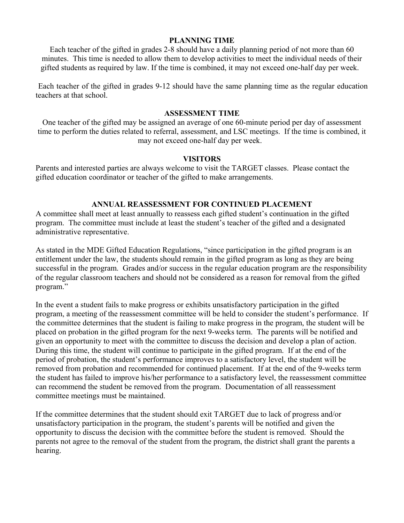#### **PLANNING TIME**

Each teacher of the gifted in grades 2-8 should have a daily planning period of not more than 60 minutes. This time is needed to allow them to develop activities to meet the individual needs of their gifted students as required by law. If the time is combined, it may not exceed one-half day per week.

 Each teacher of the gifted in grades 9-12 should have the same planning time as the regular education teachers at that school.

#### **ASSESSMENT TIME**

One teacher of the gifted may be assigned an average of one 60-minute period per day of assessment time to perform the duties related to referral, assessment, and LSC meetings. If the time is combined, it may not exceed one-half day per week.

#### **VISITORS**

Parents and interested parties are always welcome to visit the TARGET classes. Please contact the gifted education coordinator or teacher of the gifted to make arrangements.

#### **ANNUAL REASSESSMENT FOR CONTINUED PLACEMENT**

A committee shall meet at least annually to reassess each gifted student's continuation in the gifted program. The committee must include at least the student's teacher of the gifted and a designated administrative representative.

As stated in the MDE Gifted Education Regulations, "since participation in the gifted program is an entitlement under the law, the students should remain in the gifted program as long as they are being successful in the program. Grades and/or success in the regular education program are the responsibility of the regular classroom teachers and should not be considered as a reason for removal from the gifted program."

In the event a student fails to make progress or exhibits unsatisfactory participation in the gifted program, a meeting of the reassessment committee will be held to consider the student's performance. If the committee determines that the student is failing to make progress in the program, the student will be placed on probation in the gifted program for the next 9-weeks term. The parents will be notified and given an opportunity to meet with the committee to discuss the decision and develop a plan of action. During this time, the student will continue to participate in the gifted program. If at the end of the period of probation, the student's performance improves to a satisfactory level, the student will be removed from probation and recommended for continued placement. If at the end of the 9-weeks term the student has failed to improve his/her performance to a satisfactory level, the reassessment committee can recommend the student be removed from the program. Documentation of all reassessment committee meetings must be maintained.

If the committee determines that the student should exit TARGET due to lack of progress and/or unsatisfactory participation in the program, the student's parents will be notified and given the opportunity to discuss the decision with the committee before the student is removed. Should the parents not agree to the removal of the student from the program, the district shall grant the parents a hearing.